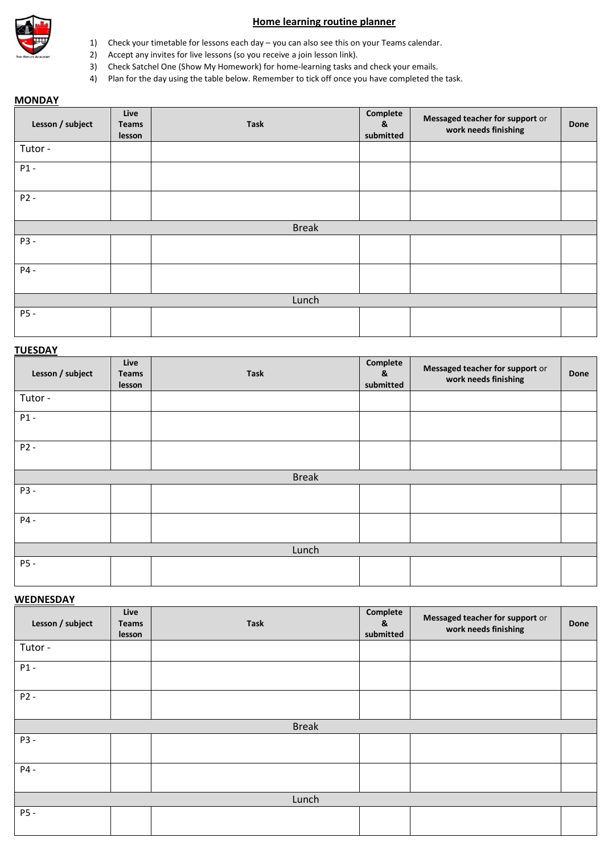

### **Home learning routine planner**

- 1) Check your timetable for lessons each day you can also see this on your Teams calendar.
- 2) Accept any invites for live lessons (so you receive a join lesson link).
- 3) Check Satchel One (Show My Homework) for home-learning tasks and check your emails.
- 4) Plan for the day using the table below. Remember to tick off once you have completed the task.

## **MONDAY**

| Lesson / subject | Live<br><b>Teams</b><br>lesson | <b>Task</b>  | Complete<br>&<br>submitted | Messaged teacher for support or<br>work needs finishing | Done |
|------------------|--------------------------------|--------------|----------------------------|---------------------------------------------------------|------|
| Tutor -          |                                |              |                            |                                                         |      |
| $P1 -$           |                                |              |                            |                                                         |      |
| $P2 -$           |                                |              |                            |                                                         |      |
|                  |                                | <b>Break</b> |                            |                                                         |      |
| P3 -             |                                |              |                            |                                                         |      |
| P4 -             |                                |              |                            |                                                         |      |
| Lunch            |                                |              |                            |                                                         |      |
| P5-              |                                |              |                            |                                                         |      |

#### **TUESDAY**

| Lesson / subject | Live<br><b>Teams</b><br>lesson | <b>Task</b> | Complete<br>&<br>submitted | Messaged teacher for support or<br>work needs finishing | Done |  |  |
|------------------|--------------------------------|-------------|----------------------------|---------------------------------------------------------|------|--|--|
| Tutor -          |                                |             |                            |                                                         |      |  |  |
| $P1 -$           |                                |             |                            |                                                         |      |  |  |
| $P2 -$           |                                |             |                            |                                                         |      |  |  |
| <b>Break</b>     |                                |             |                            |                                                         |      |  |  |
| P3 -             |                                |             |                            |                                                         |      |  |  |
| P4 -             |                                |             |                            |                                                         |      |  |  |
| Lunch            |                                |             |                            |                                                         |      |  |  |
| P5 -             |                                |             |                            |                                                         |      |  |  |

#### **WEDNESDAY**

| Lesson / subject | Live<br>Teams<br>lesson | <b>Task</b> | Complete<br>&<br>submitted | Messaged teacher for support or<br>work needs finishing | Done |  |  |  |
|------------------|-------------------------|-------------|----------------------------|---------------------------------------------------------|------|--|--|--|
| Tutor -          |                         |             |                            |                                                         |      |  |  |  |
| $P1 -$           |                         |             |                            |                                                         |      |  |  |  |
| $P2 -$           |                         |             |                            |                                                         |      |  |  |  |
|                  | <b>Break</b>            |             |                            |                                                         |      |  |  |  |
| P3 -             |                         |             |                            |                                                         |      |  |  |  |
| P4 -             |                         |             |                            |                                                         |      |  |  |  |
| Lunch            |                         |             |                            |                                                         |      |  |  |  |
| P5 -             |                         |             |                            |                                                         |      |  |  |  |